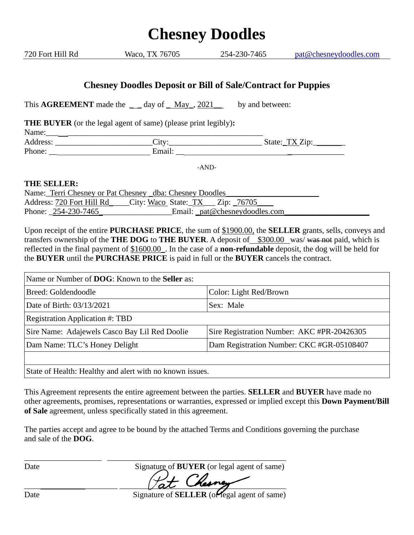## **Chesney Doodles** 720 Fort Hill Rd Waco, TX 76705 254-230-7465 [pat@chesneydoodles.com](mailto:pat@chesneydoodles.com) **Chesney Doodles Deposit or Bill of Sale/Contract for Puppies** This **AGREEMENT** made the  $\qquad$  day of May<sub>1</sub>, 2021\_\_\_\_\_\_\_ by and between: **THE BUYER** (or the legal agent of same) (please print legibly)**:** Name:\_\_\_ \_\_\_\_\_\_\_\_\_\_\_\_\_\_\_\_\_\_\_\_\_\_\_\_\_\_\_\_\_\_\_\_\_\_\_\_\_\_\_\_\_\_\_\_\_\_\_\_ Address: \_\_\_\_\_\_\_\_\_\_\_\_\_\_\_\_\_\_\_\_\_\_\_\_City:\_\_\_\_\_\_\_\_\_\_\_\_\_\_\_\_\_\_\_\_\_\_\_ State:\_TX Zip:\_\_\_\_\_\_\_\_ Phone: \_\_ Email: \_\_ \_\_\_\_\_\_\_\_\_\_\_\_\_\_ -AND-**THE SELLER:** Name:\_Terri Chesney or Pat Chesney \_dba: Chesney Doodles\_ Address: 720 Fort Hill Rd City: Waco State: TX Zip: 76705 Phone: 254-230-7465  $\qquad \qquad$  Email:  $pat@chesneydoodles.com$ Upon receipt of the entire **PURCHASE PRICE**, the sum of \$1900.00, the **SELLER** grants, sells, conveys and

transfers ownership of the **THE DOG** to **THE BUYER**. A deposit of \$300.00 was/ was not paid, which is reflected in the final payment of \$1600.00\_. In the case of a **non-refundable** deposit, the dog will be held for the **BUYER** until the **PURCHASE PRICE** is paid in full or the **BUYER** cancels the contract.

| Name or Number of <b>DOG</b> : Known to the <b>Seller</b> as: |                                            |
|---------------------------------------------------------------|--------------------------------------------|
| Breed: Goldendoodle                                           | Color: Light Red/Brown                     |
| Date of Birth: 03/13/2021                                     | Sex: Male                                  |
| <b>Registration Application #: TBD</b>                        |                                            |
| Sire Name: Adajewels Casco Bay Lil Red Doolie                 | Sire Registration Number: AKC #PR-20426305 |
| Dam Name: TLC's Honey Delight                                 | Dam Registration Number: CKC #GR-05108407  |
|                                                               |                                            |

State of Health: Healthy and alert with no known issues.

This Agreement represents the entire agreement between the parties. **SELLER** and **BUYER** have made no other agreements, promises, representations or warranties, expressed or implied except this **Down Payment/Bill of Sale** agreement, unless specifically stated in this agreement.

The parties accept and agree to be bound by the attached Terms and Conditions governing the purchase and sale of the **DOG**.

\_\_\_\_\_\_\_\_\_\_\_\_\_\_\_\_\_\_\_ \_\_\_\_\_\_\_\_\_\_\_\_\_\_\_\_\_\_\_\_\_\_\_\_\_\_\_\_\_\_\_\_\_\_\_\_\_\_\_\_\_\_\_\_

Date **Signature of BUYER** (or legal agent of same)  $\mu$  at their g

Date Signature of **SELLER** (or legal agent of same)